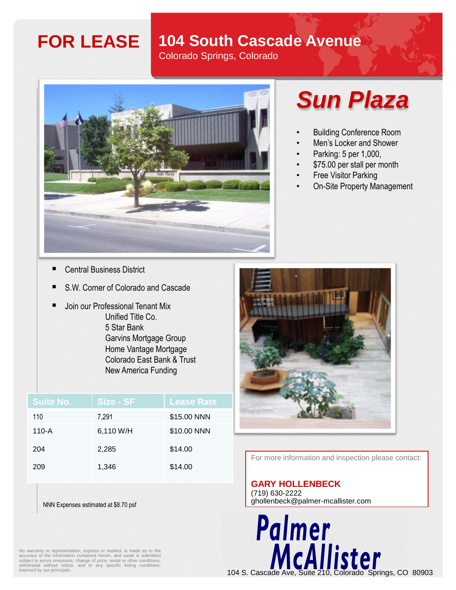### **FOR LEASE 104 South Cascade Avenue**

Colorado Springs, Colorado



## *Sun Plaza*

- Building Conference Room
- Men's Locker and Shower
- Parking: 5 per 1,000,
- \$75.00 per stall per month
- **Free Visitor Parking**
- On-Site Property Management

- **Central Business District**
- S.W. Corner of Colorado and Cascade
- Join our Professional Tenant Mix Unified Title Co. 5 Star Bank Garvins Mortgage Group Home Vantage Mortgage Colorado East Bank & Trust New America Funding

| <b>Suite No.</b> | Size - SF | <b>Lease Rate</b> |
|------------------|-----------|-------------------|
| 110              | 7.291     | \$15.00 NNN       |
| $110-A$          | 6,110 W/H | \$10.00 NNN       |
| 204              | 2,285     | \$14.00           |
| 209              | 1,346     | \$14.00           |



For more information and inspection please contact:

#### **GARY HOLLENBECK**

Palmer

(719) 630-2222 ghollenbeck@palmer-mcallister.com

NNN Expenses estimated at \$8.70 psf

No warranty or representation, express or implied, is made as to the accuracy of the information contained herein, and same is submitted subject to errors omissions, change of price, rental or other conditions, withdrawal